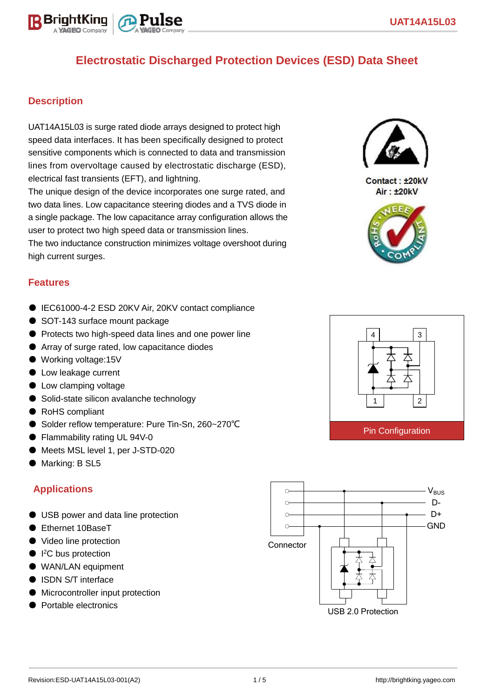

#### **Description**

BriahtKinn

UAT14A15L03 is surge rated diode arrays designed to protect high speed data interfaces. It has been specifically designed to protect sensitive components which is connected to data and transmission lines from overvoltage caused by electrostatic discharge (ESD), electrical fast transients (EFT), and lightning.

The unique design of the device incorporates one surge rated, and two data lines. Low capacitance steering diodes and a TVS diode in a single package. The low capacitance array configuration allows the user to protect two high speed data or transmission lines. The two inductance construction minimizes voltage overshoot during high current surges.

#### **Features**

- IEC61000-4-2 ESD 20KV Air, 20KV contact compliance
- SOT-143 surface mount package
- Protects two high-speed data lines and one power line
- Array of surge rated, low capacitance diodes
- Working voltage:15V
- Low leakage current
- Low clamping voltage
- Solid-state silicon avalanche technology
- RoHS compliant
- Solder reflow temperature: Pure Tin-Sn, 260~270°C
- Flammability rating UL 94V-0
- Meets MSL level 1, per J-STD-020
- Marking: B SL5

#### **Applications**

- USB power and data line protection
- Ethernet 10BaseT
- Video line protection
- I<sup>2</sup>C bus protection
- WAN/LAN equipment
- ISDN S/T interface
- Microcontroller input protection
- Portable electronics





Contact: ±20kV Air: ±20kV



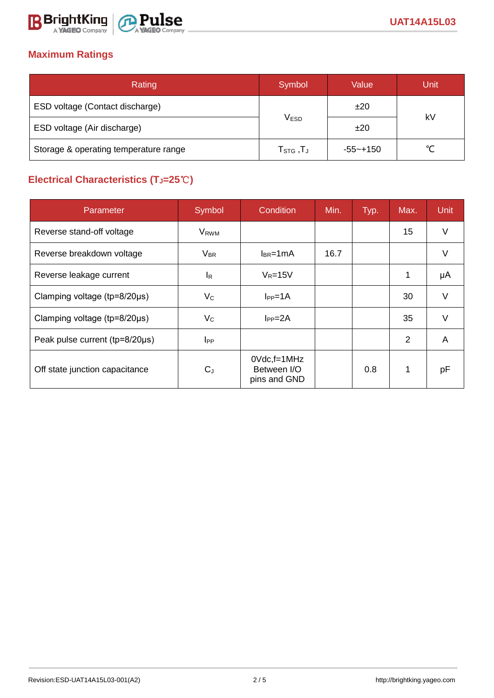

# **Maximum Ratings**

| Rating                                | Symbol                                                    | Value    | Unit   |  |
|---------------------------------------|-----------------------------------------------------------|----------|--------|--|
| ESD voltage (Contact discharge)       |                                                           | ±20      | kV     |  |
| ESD voltage (Air discharge)           | <b>VESD</b>                                               | ±20      |        |  |
| Storage & operating temperature range | $\mathsf{T}_{\texttt{STG}}\,,\!\mathsf{T}_{\texttt{J}}\,$ | -55~+150 | $\sim$ |  |

# **Electrical Characteristics (TJ=25**℃**)**

| Parameter                              | Symbol                  | Condition                                         | Min. | Typ. | Max. | <b>Unit</b> |
|----------------------------------------|-------------------------|---------------------------------------------------|------|------|------|-------------|
| Reverse stand-off voltage              | <b>V</b> <sub>RWM</sub> |                                                   |      |      | 15   | $\vee$      |
| Reverse breakdown voltage              | $V_{BR}$                | $I_{BR}$ =1mA                                     | 16.7 |      |      | V           |
| Reverse leakage current                | IR.                     | $V_R = 15V$                                       |      |      | 1    | μA          |
| Clamping voltage (tp=8/20µs)           | $V_C$                   | $I_{PP} = 1A$                                     |      |      | 30   | $\vee$      |
| Clamping voltage ( $tp = 8/20 \mu s$ ) | $V_{\rm C}$             | $I_{PP} = 2A$                                     |      |      | 35   | V           |
| Peak pulse current (tp=8/20µs)         | $_{\rm lPP}$            |                                                   |      |      | 2    | A           |
| Off state junction capacitance         | $C_{J}$                 | $0Vdc$ , f=1 $MHz$<br>Between I/O<br>pins and GND |      | 0.8  | 1    | рF          |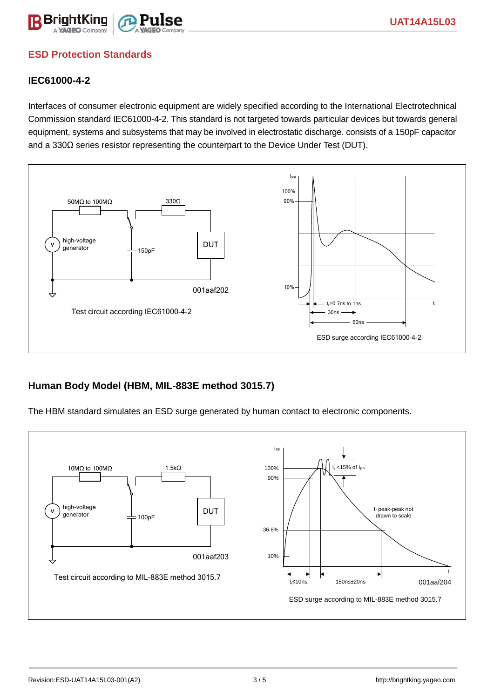

## **ESD Protection Standards**

#### **IEC61000-4-2**

Interfaces of consumer electronic equipment are widely specified according to the International Electrotechnical Commission standard IEC61000-4-2. This standard is not targeted towards particular devices but towards general equipment, systems and subsystems that may be involved in electrostatic discharge. consists of a 150pF capacitor and a 330Ω series resistor representing the counterpart to the Device Under Test (DUT).



#### **Human Body Model (HBM, MIL-883E method 3015.7)**

The HBM standard simulates an ESD surge generated by human contact to electronic components.

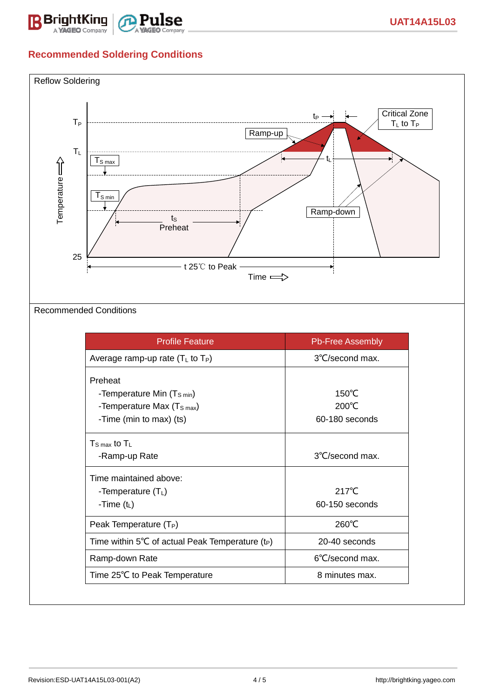

# **Recommended Soldering Conditions**